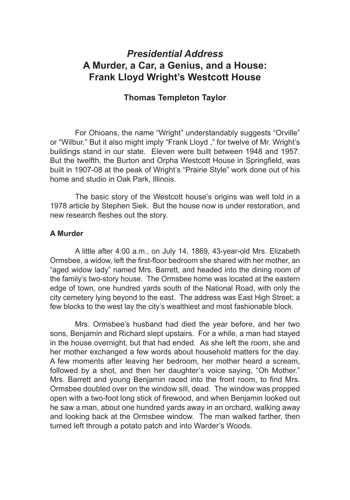# *Presidential Address* **A Murder, a Car, a Genius, and a House: Frank Lloyd Wright's Westcott House**

## **Thomas Templeton Taylor**

For Ohioans, the name "Wright" understandably suggests "Orville" or "Wilbur." But it also might imply "Frank Lloyd ," for twelve of Mr. Wright's buildings stand in our state. Eleven were built between 1948 and 1957. But the twelfth, the Burton and Orpha Westcott House in Springfield, was built in 1907-08 at the peak of Wright's "Prairie Style" work done out of his home and studio in Oak Park, Illinois.

The basic story of the Westcott house's origins was well told in a 1978 article by Stephen Siek. But the house now is under restoration, and new research fleshes out the story.

#### **A Murder**

A little after 4:00 a.m., on July 14, 1869, 43-year-old Mrs. Elizabeth Ormsbee, a widow, left the first-floor bedroom she shared with her mother, an "aged widow lady" named Mrs. Barrett, and headed into the dining room of the family's two-story house. The Ormsbee home was located at the eastern edge of town, one hundred yards south of the National Road, with only the city cemetery lying beyond to the east. The address was East High Street; a few blocks to the west lay the city's wealthiest and most fashionable block.

Mrs. Ormsbee's husband had died the year before, and her two sons, Benjamin and Richard slept upstairs. For a while, a man had stayed in the house overnight, but that had ended. As she left the room, she and her mother exchanged a few words about household matters for the day. A few moments after leaving her bedroom, her mother heard a scream, followed by a shot, and then her daughter's voice saying, "Oh Mother." Mrs. Barrett and young Benjamin raced into the front room, to find Mrs. Ormsbee doubled over on the window sill, dead. The window was propped open with a two-foot long stick of firewood, and when Benjamin looked out he saw a man, about one hundred yards away in an orchard, walking away and looking back at the Ormsbee window. The man walked farther, then turned left through a potato patch and into Warder's Woods.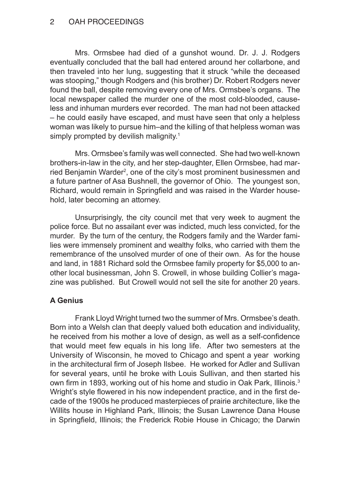#### OAH PROCEEDINGS

Mrs. Ormsbee had died of a gunshot wound. Dr. J. J. Rodgers eventually concluded that the ball had entered around her collarbone, and then traveled into her lung, suggesting that it struck "while the deceased was stooping," though Rodgers and (his brother) Dr. Robert Rodgers never found the ball, despite removing every one of Mrs. Ormsbee's organs. The local newspaper called the murder one of the most cold-blooded, causeless and inhuman murders ever recorded. The man had not been attacked – he could easily have escaped, and must have seen that only a helpless woman was likely to pursue him–and the killing of that helpless woman was simply prompted by devilish malignity.<sup>1</sup>

Mrs. Ormsbee's family was well connected. She had two well-known brothers-in-law in the city, and her step-daughter, Ellen Ormsbee, had married Benjamin Warder<sup>2</sup>, one of the city's most prominent businessmen and a future partner of Asa Bushnell, the governor of Ohio. The youngest son, Richard, would remain in Springfield and was raised in the Warder household, later becoming an attorney.

Unsurprisingly, the city council met that very week to augment the police force. But no assailant ever was indicted, much less convicted, for the murder. By the turn of the century, the Rodgers family and the Warder families were immensely prominent and wealthy folks, who carried with them the remembrance of the unsolved murder of one of their own. As for the house and land, in 1881 Richard sold the Ormsbee family property for \$5,000 to another local businessman, John S. Crowell, in whose building Collier's magazine was published. But Crowell would not sell the site for another 20 years.

## **A Genius**

Frank Lloyd Wright turned two the summer of Mrs. Ormsbee's death. Born into a Welsh clan that deeply valued both education and individuality, he received from his mother a love of design, as well as a self-confidence that would meet few equals in his long life. After two semesters at the University of Wisconsin, he moved to Chicago and spent a year working in the architectural firm of Joseph Ilsbee. He worked for Adler and Sullivan for several years, until he broke with Louis Sullivan, and then started his own firm in 1893, working out of his home and studio in Oak Park, Illinois.<sup>3</sup> Wright's style flowered in his now independent practice, and in the first decade of the 1900s he produced masterpieces of prairie architecture, like the Willits house in Highland Park, Illinois; the Susan Lawrence Dana House in Springfield, Illinois; the Frederick Robie House in Chicago; the Darwin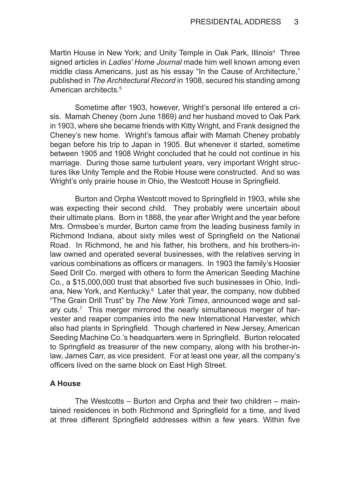Martin House in New York; and Unity Temple in Oak Park, Illinois<sup>4</sup> Three signed articles in *Ladies' Home Journal* made him well known among even middle class Americans, just as his essay "In the Cause of Architecture," published in *The Architectural Record* in 1908, secured his standing among American architects.<sup>5</sup>

Sometime after 1903, however, Wright's personal life entered a crisis. Mamah Cheney (born June 1869) and her husband moved to Oak Park in 1903, where she became friends with Kitty Wright, and Frank designed the Cheney's new home. Wright's famous affair with Mamah Cheney probably began before his trip to Japan in 1905. But whenever it started, sometime between 1905 and 1908 Wright concluded that he could not continue in his marriage. During those same turbulent years, very important Wright structures like Unity Temple and the Robie House were constructed. And so was Wright's only prairie house in Ohio, the Westcott House in Springfield.

Burton and Orpha Westcott moved to Springfield in 1903, while she was expecting their second child. They probably were uncertain about their ultimate plans. Born in 1868, the year after Wright and the year before Mrs. Ormsbee's murder, Burton came from the leading business family in Richmond Indiana, about sixty miles west of Springfield on the National Road. In Richmond, he and his father, his brothers, and his brothers-inlaw owned and operated several businesses, with the relatives serving in various combinations as officers or managers. In 1903 the family's Hoosier Seed Drill Co. merged with others to form the American Seeding Machine Co., a \$15,000,000 trust that absorbed five such businesses in Ohio, Indiana, New York, and Kentucky.<sup>6</sup> Later that year, the company, now dubbed "The Grain Drill Trust" by *The New York Times*, announced wage and salary cuts.<sup>7</sup> This merger mirrored the nearly simultaneous merger of harvester and reaper companies into the new International Harvester, which also had plants in Springfield. Though chartered in New Jersey, American Seeding Machine Co.'s headquarters were in Springfield. Burton relocated to Springfield as treasurer of the new company, along with his brother-inlaw, James Carr, as vice president. For at least one year, all the company's officers lived on the same block on East High Street.

#### **A House**

The Westcotts – Burton and Orpha and their two children – maintained residences in both Richmond and Springfield for a time, and lived at three different Springfield addresses within a few years. Within five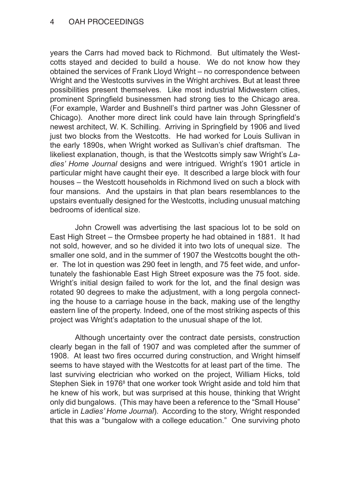#### OAH PROCEEDINGS

years the Carrs had moved back to Richmond. But ultimately the Westcotts stayed and decided to build a house. We do not know how they obtained the services of Frank Lloyd Wright – no correspondence between Wright and the Westcotts survives in the Wright archives. But at least three possibilities present themselves. Like most industrial Midwestern cities, prominent Springfield businessmen had strong ties to the Chicago area. (For example, Warder and Bushnell's third partner was John Glessner of Chicago). Another more direct link could have lain through Springfield's newest architect, W. K. Schilling. Arriving in Springfield by 1906 and lived just two blocks from the Westcotts. He had worked for Louis Sullivan in the early 1890s, when Wright worked as Sullivan's chief draftsman. The likeliest explanation, though, is that the Westcotts simply saw Wright's *Ladies' Home Journal* designs and were intrigued. Wright's 1901 article in particular might have caught their eye. It described a large block with four houses – the Westcott households in Richmond lived on such a block with four mansions. And the upstairs in that plan bears resemblances to the upstairs eventually designed for the Westcotts, including unusual matching bedrooms of identical size.

John Crowell was advertising the last spacious lot to be sold on East High Street – the Ormsbee property he had obtained in 1881. It had not sold, however, and so he divided it into two lots of unequal size. The smaller one sold, and in the summer of 1907 the Westcotts bought the other. The lot in question was 290 feet in length, and 75 feet wide, and unfortunately the fashionable East High Street exposure was the 75 foot. side. Wright's initial design failed to work for the lot, and the final design was rotated 90 degrees to make the adjustment, with a long pergola connecting the house to a carriage house in the back, making use of the lengthy eastern line of the property. Indeed, one of the most striking aspects of this project was Wright's adaptation to the unusual shape of the lot.

Although uncertainty over the contract date persists, construction clearly began in the fall of 1907 and was completed after the summer of 1908. At least two fires occurred during construction, and Wright himself seems to have stayed with the Westcotts for at least part of the time. The last surviving electrician who worked on the project, William Hicks, told Stephen Siek in 1976<sup>8</sup> that one worker took Wright aside and told him that he knew of his work, but was surprised at this house, thinking that Wright only did bungalows. (This may have been a reference to the "Small House" article in *Ladies' Home Journal*). According to the story, Wright responded that this was a "bungalow with a college education." One surviving photo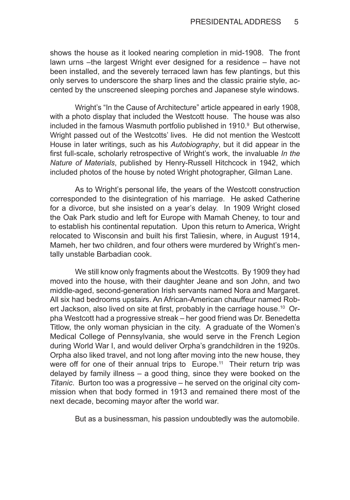shows the house as it looked nearing completion in mid-1908. The front lawn urns –the largest Wright ever designed for a residence – have not been installed, and the severely terraced lawn has few plantings, but this only serves to underscore the sharp lines and the classic prairie style, accented by the unscreened sleeping porches and Japanese style windows.

Wright's "In the Cause of Architecture" article appeared in early 1908, with a photo display that included the Westcott house. The house was also included in the famous Wasmuth portfolio published in 1910.<sup>9</sup> But otherwise, Wright passed out of the Westcotts' lives. He did not mention the Westcott House in later writings, such as his *Autobiography*, but it did appear in the first full-scale, scholarly retrospective of Wright's work, the invaluable *In the Nature of Materials*, published by Henry-Russell Hitchcock in 1942, which included photos of the house by noted Wright photographer, Gilman Lane.

As to Wright's personal life, the years of the Westcott construction corresponded to the disintegration of his marriage. He asked Catherine for a divorce, but she insisted on a year's delay. In 1909 Wright closed the Oak Park studio and left for Europe with Mamah Cheney, to tour and to establish his continental reputation. Upon this return to America, Wright relocated to Wisconsin and built his first Taliesin, where, in August 1914, Mameh, her two children, and four others were murdered by Wright's mentally unstable Barbadian cook.

We still know only fragments about the Westcotts. By 1909 they had moved into the house, with their daughter Jeane and son John, and two middle-aged, second-generation Irish servants named Nora and Margaret. All six had bedrooms upstairs. An African-American chauffeur named Robert Jackson, also lived on site at first, probably in the carriage house.<sup>10</sup> Orpha Westcott had a progressive streak – her good friend was Dr. Benedetta Titlow, the only woman physician in the city. A graduate of the Women's Medical College of Pennsylvania, she would serve in the French Legion during World War I, and would deliver Orpha's grandchildren in the 1920s. Orpha also liked travel, and not long after moving into the new house, they were off for one of their annual trips to Europe.<sup>11</sup> Their return trip was delayed by family illness – a good thing, since they were booked on the *Titanic*. Burton too was a progressive – he served on the original city commission when that body formed in 1913 and remained there most of the next decade, becoming mayor after the world war.

But as a businessman, his passion undoubtedly was the automobile.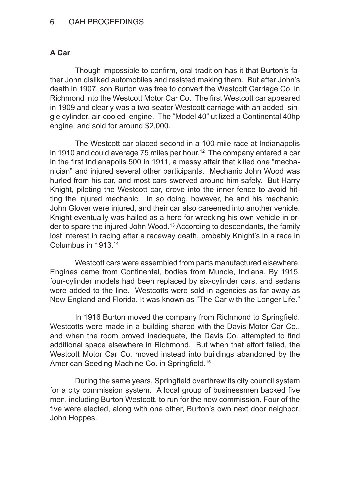#### OAH PROCEEDINGS

#### **A Car**

Though impossible to confirm, oral tradition has it that Burton's father John disliked automobiles and resisted making them. But after John's death in 1907, son Burton was free to convert the Westcott Carriage Co. in Richmond into the Westcott Motor Car Co. The first Westcott car appeared in 1909 and clearly was a two-seater Westcott carriage with an added single cylinder, air-cooled engine. The "Model 40" utilized a Continental 40hp engine, and sold for around \$2,000.

The Westcott car placed second in a 100-mile race at Indianapolis in 1910 and could average 75 miles per hour.<sup>12</sup> The company entered a car in the first Indianapolis 500 in 1911, a messy affair that killed one "mechanician" and injured several other participants. Mechanic John Wood was hurled from his car, and most cars swerved around him safely. But Harry Knight, piloting the Westcott car, drove into the inner fence to avoid hitting the injured mechanic. In so doing, however, he and his mechanic, John Glover were injured, and their car also careened into another vehicle. Knight eventually was hailed as a hero for wrecking his own vehicle in order to spare the injured John Wood.<sup>13</sup> According to descendants, the family lost interest in racing after a raceway death, probably Knight's in a race in Columbus in 1913.14

Westcott cars were assembled from parts manufactured elsewhere. Engines came from Continental, bodies from Muncie, Indiana. By 1915, four-cylinder models had been replaced by six-cylinder cars, and sedans were added to the line. Westcotts were sold in agencies as far away as New England and Florida. It was known as "The Car with the Longer Life."

In 1916 Burton moved the company from Richmond to Springfield. Westcotts were made in a building shared with the Davis Motor Car Co., and when the room proved inadequate, the Davis Co. attempted to find additional space elsewhere in Richmond. But when that effort failed, the Westcott Motor Car Co. moved instead into buildings abandoned by the American Seeding Machine Co. in Springfield.<sup>15</sup>

During the same years, Springfield overthrew its city council system for a city commission system. A local group of businessmen backed five men, including Burton Westcott, to run for the new commission. Four of the five were elected, along with one other, Burton's own next door neighbor, John Hoppes.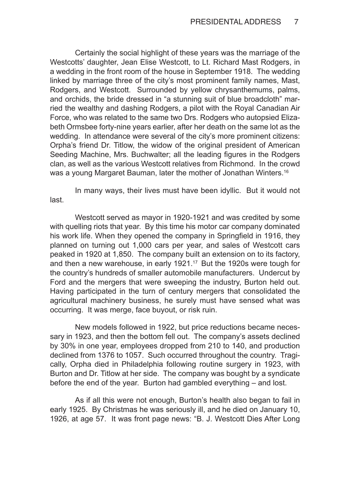Certainly the social highlight of these years was the marriage of the Westcotts' daughter, Jean Elise Westcott, to Lt. Richard Mast Rodgers, in a wedding in the front room of the house in September 1918. The wedding linked by marriage three of the city's most prominent family names, Mast, Rodgers, and Westcott. Surrounded by yellow chrysanthemums, palms, and orchids, the bride dressed in "a stunning suit of blue broadcloth" married the wealthy and dashing Rodgers, a pilot with the Royal Canadian Air Force, who was related to the same two Drs. Rodgers who autopsied Elizabeth Ormsbee forty-nine years earlier, after her death on the same lot as the wedding. In attendance were several of the city's more prominent citizens: Orpha's friend Dr. Titlow, the widow of the original president of American Seeding Machine, Mrs. Buchwalter; all the leading figures in the Rodgers clan, as well as the various Westcott relatives from Richmond. In the crowd was a young Margaret Bauman, later the mother of Jonathan Winters.<sup>16</sup>

In many ways, their lives must have been idyllic. But it would not last.

Westcott served as mayor in 1920-1921 and was credited by some with quelling riots that year. By this time his motor car company dominated his work life. When they opened the company in Springfield in 1916, they planned on turning out 1,000 cars per year, and sales of Westcott cars peaked in 1920 at 1,850. The company built an extension on to its factory, and then a new warehouse, in early 1921.17 But the 1920s were tough for the country's hundreds of smaller automobile manufacturers. Undercut by Ford and the mergers that were sweeping the industry, Burton held out. Having participated in the turn of century mergers that consolidated the agricultural machinery business, he surely must have sensed what was occurring. It was merge, face buyout, or risk ruin.

New models followed in 1922, but price reductions became necessary in 1923, and then the bottom fell out. The company's assets declined by 30% in one year, employees dropped from 210 to 140, and production declined from 1376 to 1057. Such occurred throughout the country. Tragically, Orpha died in Philadelphia following routine surgery in 1923, with Burton and Dr. Titlow at her side. The company was bought by a syndicate before the end of the year. Burton had gambled everything – and lost.

As if all this were not enough, Burton's health also began to fail in early 1925. By Christmas he was seriously ill, and he died on January 10, 1926, at age 57. It was front page news: "B. J. Westcott Dies After Long